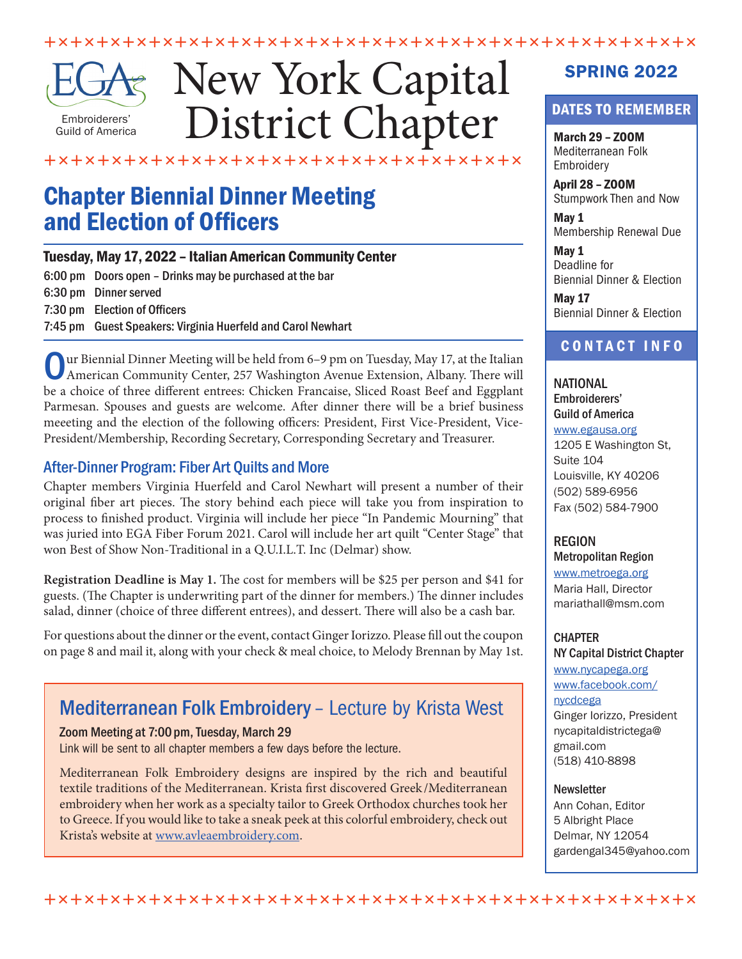

# New York Capital District Chapter

 $+$   $\times$   $+$   $\times$   $+$   $\times$   $+$   $\times$   $+$   $\times$   $+$   $\times$   $+$   $\times$   $+$   $\times$   $+$   $\times$   $+$   $\times$   $+$   $\times$   $+$   $\times$   $+$   $\times$   $+$   $\times$   $+$   $\times$   $+$   $\times$   $+$   $\times$   $+$   $\times$   $+$   $\times$   $+$   $\times$   $+$   $\times$   $+$   $\times$   $+$   $\times$   $+$   $\times$   $+$ 

#### ÈÏÈÏÈÏÈÏÈÏÈÏÈÏÈÏÈÏÈÏÈÏÈÏÈÏÈÏÈÏÈÏÈÏÈÏ

## Chapter Biennial Dinner Meeting and Election of Officers

#### Tuesday, May 17, 2022 – Italian American Community Center 6:00 pm Doors open – Drinks may be purchased at the bar 6:30 pm Dinner served 7:30 pm Election of Officers 7:45 pm Guest Speakers: Virginia Huerfeld and Carol Newhart

Our Biennial Dinner Meeting will be held from 6–9 pm on Tuesday, May 17, at the Italian American Community Center, 257 Washington Avenue Extension, Albany. There will be a choice of three different entrees: Chicken Francaise, Sliced Roast Beef and Eggplant Parmesan. Spouses and guests are welcome. After dinner there will be a brief business meeeting and the election of the following officers: President, First Vice-President, Vice-President/Membership, Recording Secretary, Corresponding Secretary and Treasurer.

#### After-Dinner Program: Fiber Art Quilts and More

Chapter members Virginia Huerfeld and Carol Newhart will present a number of their original fiber art pieces. The story behind each piece will take you from inspiration to process to finished product. Virginia will include her piece "In Pandemic Mourning" that was juried into EGA Fiber Forum 2021. Carol will include her art quilt "Center Stage" that won Best of Show Non-Traditional in a Q.U.I.L.T. Inc (Delmar) show.

**Registration Deadline is May 1.** The cost for members will be \$25 per person and \$41 for guests. (The Chapter is underwriting part of the dinner for members.) The dinner includes salad, dinner (choice of three different entrees), and dessert. There will also be a cash bar.

For questions about the dinner or the event, contact Ginger Iorizzo. Please fill out the coupon on page 8 and mail it, along with your check & meal choice, to Melody Brennan by May 1st.

### Mediterranean Folk Embroidery – Lecture by Krista West

#### Zoom Meeting at 7:00 pm, Tuesday, March 29

Link will be sent to all chapter members a few days before the lecture.

Mediterranean Folk Embroidery designs are inspired by the rich and beautiful textile traditions of the Mediterranean. Krista first discovered Greek /Mediterranean embroidery when her work as a specialty tailor to Greek Orthodox churches took her to Greece. If you would like to take a sneak peek at this colorful embroidery, check out Krista's website at<www.avleaembroidery.com>.

### SPRING 2022

#### DATES TO REMEMBER

March 29 – ZOOM Mediterranean Folk Embroidery

April 28 – ZOOM Stumpwork Then and Now

May 1 Membership Renewal Due

May 1 Deadline for Biennial Dinner & Election

May 17 Biennial Dinner & Election

#### CONTACT INFO

NATIONAL Embroiderers' Guild of America <www.egausa.org>

1205 E Washington St, Suite 104 Louisville, KY 40206 (502) 589-6956 Fax (502) 584-7900

#### **REGION**

Metropolitan Region <www.metroega.org> Maria Hall, Director mariathall@msm.com

### **CHAPTER**

NY Capital District Chapter <www.nycapega.org> www.facebook.com/ nycdcega Ginger Iorizzo, President nycapitaldistrictega@ gmail.com (518) 410-8898

#### **Newsletter**

Ann Cohan, Editor 5 Albright Place Delmar, NY 12054 gardengal345@yahoo.com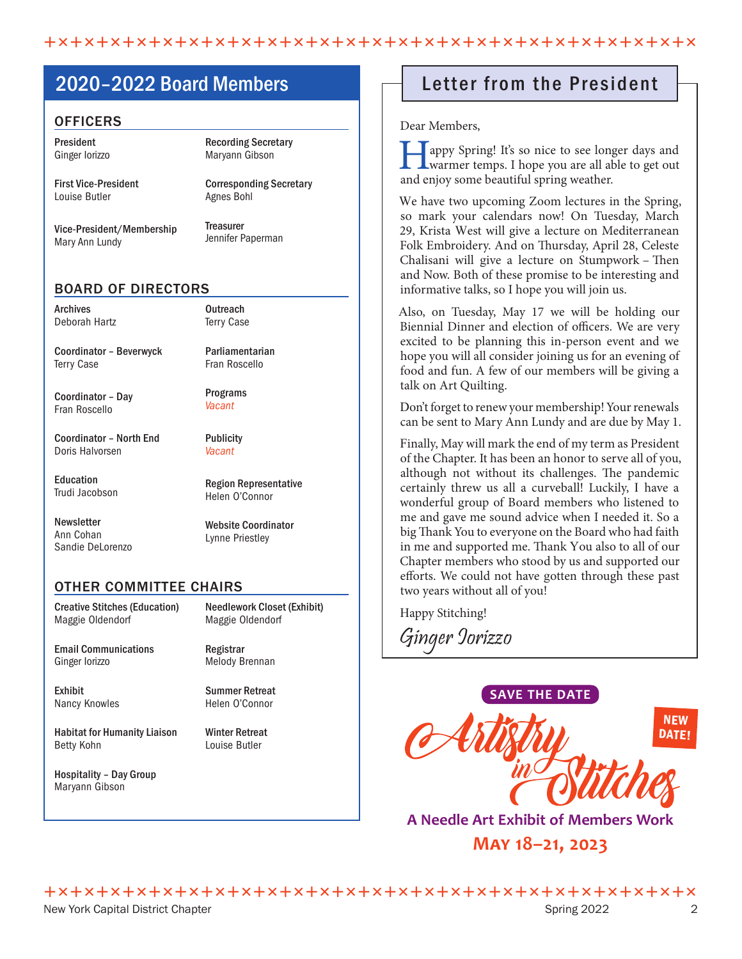### 2020–2022 Board Members

#### **OFFICERS**

President Ginger Iorizzo

First Vice-President Louise Butler

Recording Secretary Maryann Gibson

Corresponding Secretary Agnes Bohl

Vice-President/Membership Mary Ann Lundy

**Treasurer** 

Jennifer Paperman

#### BOARD OF DIRECTORS

| Archives      |  |
|---------------|--|
| Deborah Hartz |  |

**Outreach** Terry Case

Parliamentarian

Coordinator – Beverwyck Terry Case

Coordinator – Day Fran Roscello

Coordinator – North End Doris Halvorsen

Education Trudi Jacobson

**Newsletter** Ann Cohan Sandie DeLorenzo Fran Roscello Programs

*Vacant*

**Publicity** *Vacant*

Region Representative Helen O'Connor

Website Coordinator Lynne Priestley

#### OTHER COMMITTEE CHAIRS

Creative Stitches (Education) Maggie Oldendorf

Email Communications Ginger Iorizzo

Exhibit Nancy Knowles

Habitat for Humanity Liaison Betty Kohn

Hospitality – Day Group Maryann Gibson

Needlework Closet (Exhibit) Maggie Oldendorf

Registrar Melody Brennan

Summer Retreat Helen O'Connor

Winter Retreat Louise Butler

### Letter from the President

Dear Members,

appy Spring! It's so nice to see longer days and warmer temps. I hope you are all able to get out and enjoy some beautiful spring weather.

We have two upcoming Zoom lectures in the Spring, so mark your calendars now! On Tuesday, March 29, Krista West will give a lecture on Mediterranean Folk Embroidery. And on Thursday, April 28, Celeste Chalisani will give a lecture on Stumpwork – Then and Now. Both of these promise to be interesting and informative talks, so I hope you will join us.

Also, on Tuesday, May 17 we will be holding our Biennial Dinner and election of officers. We are very excited to be planning this in-person event and we hope you will all consider joining us for an evening of food and fun. A few of our members will be giving a talk on Art Quilting.

Don't forget to renew your membership! Your renewals can be sent to Mary Ann Lundy and are due by May 1.

Finally, May will mark the end of my term as President of the Chapter. It has been an honor to serve all of you, although not without its challenges. The pandemic certainly threw us all a curveball! Luckily, I have a wonderful group of Board members who listened to me and gave me sound advice when I needed it. So a big Thank You to everyone on the Board who had faith in me and supported me. Thank You also to all of our Chapter members who stood by us and supported our efforts. We could not have gotten through these past two years without all of you!

Happy Stitching!

Ginger Iorizzo



**A Needle Art Exhibit of Members Work May 18–21, 2023**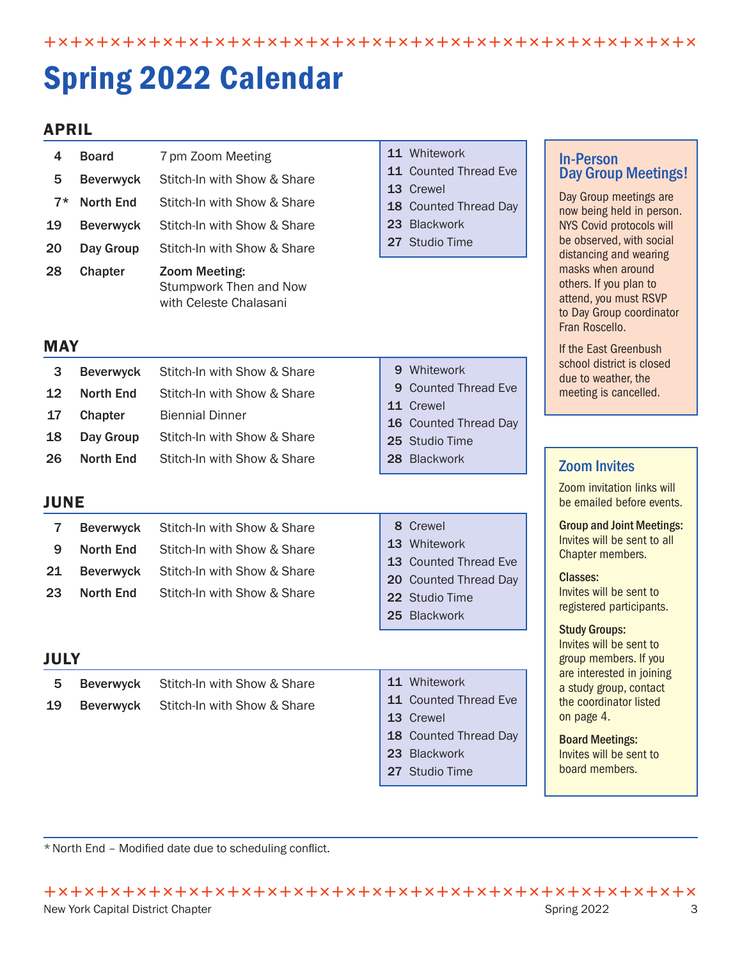ÈÏÈÏÈÏÈÏÈÏÈÏÈÏÈÏÈÏÈÏÈÏÈÏÈÏÈÏÈÏÈÏÈÏÈÏÈÏÈÏÈÏÈÏÈÏÈÏÈÏ

# Spring 2022 Calendar

#### APRIL

| 4<br>5<br>$7*$<br>19<br>20<br>28<br><b>MAY</b> | <b>Board</b><br><b>Beverwyck</b><br><b>North End</b><br><b>Beverwyck</b><br>Day Group<br>Chapter | 7 pm Zoom Meeting<br>Stitch-In with Show & Share<br>Stitch-In with Show & Share<br>Stitch-In with Show & Share<br>Stitch-In with Show & Share<br>Zoom Meeting:<br>Stumpwork Then and Now<br>with Celeste Chalasani | 11 Whitework<br>11 Counted Thread Eve<br>13 Crewel<br>18 Counted Thread Day<br>23 Blackwork<br>27 Studio Time          | <b>In-Person</b><br><b>Day Group Meetings!</b><br>Day Group meetings are<br>now being held in person.<br>NYS Covid protocols will<br>be observed, with social<br>distancing and wearing<br>masks when around<br>others. If you plan to<br>attend, you must RSVP<br>to Day Group coordinator<br>Fran Roscello.<br>If the East Greenbush |
|------------------------------------------------|--------------------------------------------------------------------------------------------------|--------------------------------------------------------------------------------------------------------------------------------------------------------------------------------------------------------------------|------------------------------------------------------------------------------------------------------------------------|----------------------------------------------------------------------------------------------------------------------------------------------------------------------------------------------------------------------------------------------------------------------------------------------------------------------------------------|
| 3<br>12<br>17                                  | <b>Beverwyck</b><br><b>North End</b><br>Chapter                                                  | Stitch-In with Show & Share<br>Stitch-In with Show & Share<br><b>Biennial Dinner</b>                                                                                                                               | 9 Whitework<br><b>Counted Thread Eve</b><br>9<br>11 Crewel<br>16 Counted Thread Day                                    | school district is closed<br>due to weather, the<br>meeting is cancelled.                                                                                                                                                                                                                                                              |
| 18                                             | Day Group                                                                                        | Stitch-In with Show & Share                                                                                                                                                                                        | 25 Studio Time                                                                                                         |                                                                                                                                                                                                                                                                                                                                        |
| 26                                             | <b>North End</b>                                                                                 | Stitch-In with Show & Share                                                                                                                                                                                        | 28 Blackwork                                                                                                           | <b>Zoom Invites</b>                                                                                                                                                                                                                                                                                                                    |
| <b>JUNE</b>                                    |                                                                                                  |                                                                                                                                                                                                                    |                                                                                                                        | Zoom invitation links will<br>be emailed before events.                                                                                                                                                                                                                                                                                |
| $\overline{7}$<br>9<br>21<br>23                | <b>Beverwyck</b><br><b>North End</b><br><b>Beverwyck</b><br><b>North End</b>                     | Stitch-In with Show & Share<br>Stitch-In with Show & Share<br>Stitch-In with Show & Share<br>Stitch-In with Show & Share                                                                                           | 8 Crewel<br>13 Whitework<br><b>Counted Thread Eve</b><br>13<br>20 Counted Thread Day<br>22 Studio Time<br>25 Blackwork | <b>Group and Joint Meetings:</b><br>Invites will be sent to all<br>Chapter members.<br><b>Classes:</b><br>Invites will be sent to<br>registered participants.<br><b>Study Groups:</b>                                                                                                                                                  |
| <b>JULY</b>                                    |                                                                                                  |                                                                                                                                                                                                                    |                                                                                                                        | Invites will be sent to<br>group members. If you                                                                                                                                                                                                                                                                                       |
| 5.<br>19                                       | <b>Beverwyck</b><br><b>Beverwyck</b>                                                             | Stitch-In with Show & Share<br>Stitch-In with Show & Share                                                                                                                                                         | 11 Whitework<br>11 Counted Thread Eve<br>13 Crewel<br>18 Counted Thread Day<br>23 Blackwork<br>27 Studio Time          | are interested in joining<br>a study group, contact<br>the coordinator listed<br>on page 4.<br><b>Board Meetings:</b><br>Invites will be sent to<br>board members.                                                                                                                                                                     |

\* North End – Modified date due to scheduling conflict.

ÈÏÈÏÈÏÈÏÈÏÈÏÈÏÈÏÈÏÈÏÈÏÈÏÈÏÈÏÈÏÈÏÈÏÈÏÈÏÈÏÈÏÈÏÈÏÈÏÈÏ New York Capital District Chapter Spring 2022 3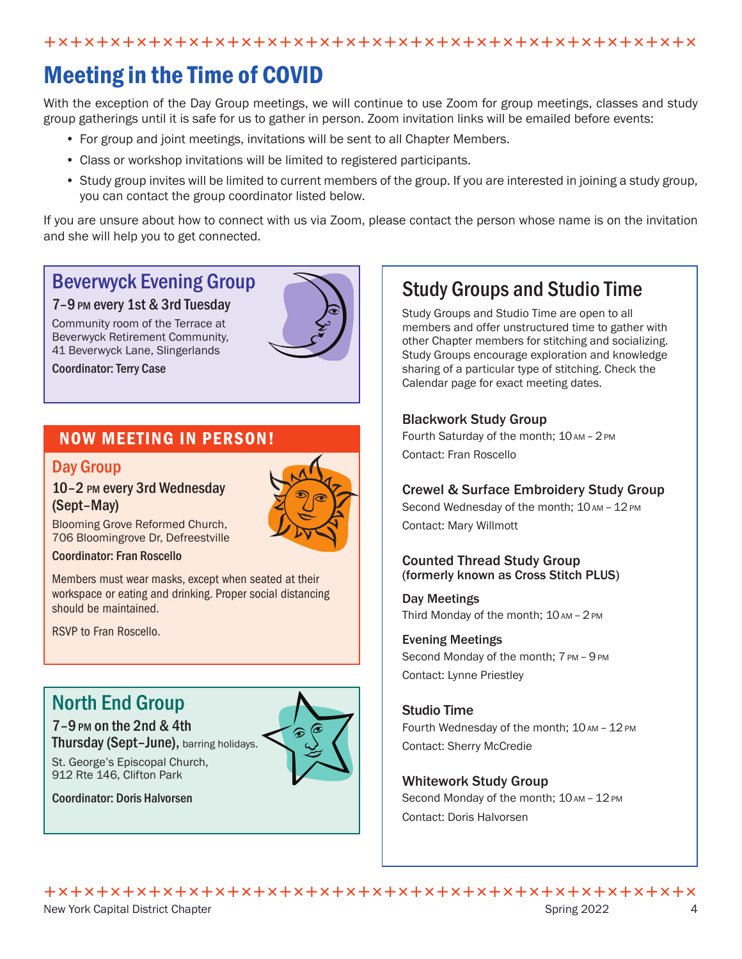## Meeting in the Time of COVID

With the exception of the Day Group meetings, we will continue to use Zoom for group meetings, classes and study group gatherings until it is safe for us to gather in person. Zoom invitation links will be emailed before events:

- For group and joint meetings, invitations will be sent to all Chapter Members.
- Class or workshop invitations will be limited to registered participants.
- Study group invites will be limited to current members of the group. If you are interested in joining a study group, you can contact the group coordinator listed below.

If you are unsure about how to connect with us via Zoom, please contact the person whose name is on the invitation and she will help you to get connected.

### Beverwyck Evening Group

#### 7–9pm every 1st & 3rd Tuesday

Community room of the Terrace at Beverwyck Retirement Community, 41 Beverwyck Lane, Slingerlands

Coordinator: Terry Case

### NOW MEETING IN PERSON!

#### Day Group

#### 10–2 pm every 3rd Wednesday (Sept–May)



Blooming Grove Reformed Church, 706 Bloomingrove Dr, Defreestville

#### Coordinator: Fran Roscello

Members must wear masks, except when seated at their workspace or eating and drinking. Proper social distancing should be maintained.

RSVP to Fran Roscello.

### North End Group

7–9pm on the 2nd & 4th Thursday (Sept-June), barring holidays.



Coordinator: Doris Halvorsen

St. George's Episcopal Church, 912 Rte 146, Clifton Park

### Study Groups and Studio Time

Study Groups and Studio Time are open to all members and offer unstructured time to gather with other Chapter members for stitching and socializing. Study Groups encourage exploration and knowledge sharing of a particular type of stitching. Check the Calendar page for exact meeting dates.

#### Blackwork Study Group

Fourth Saturday of the month;  $10$  AM - 2 PM Contact: Fran Roscello

#### Crewel & Surface Embroidery Study Group

Second Wednesday of the month;  $10$  AM -  $12$  PM Contact: Mary Willmott

#### Counted Thread Study Group (formerly known as Cross Stitch PLUS)

Day Meetings Third Monday of the month;  $10AM - 2PM$ 

#### Evening Meetings

Second Monday of the month:  $7PM - 9PM$ Contact: Lynne Priestley

#### Studio Time

Fourth Wednesday of the month; 10 AM - 12 PM Contact: Sherry McCredie

#### Whitework Study Group

Second Monday of the month;  $10$  AM -  $12$  PM Contact: Doris Halvorsen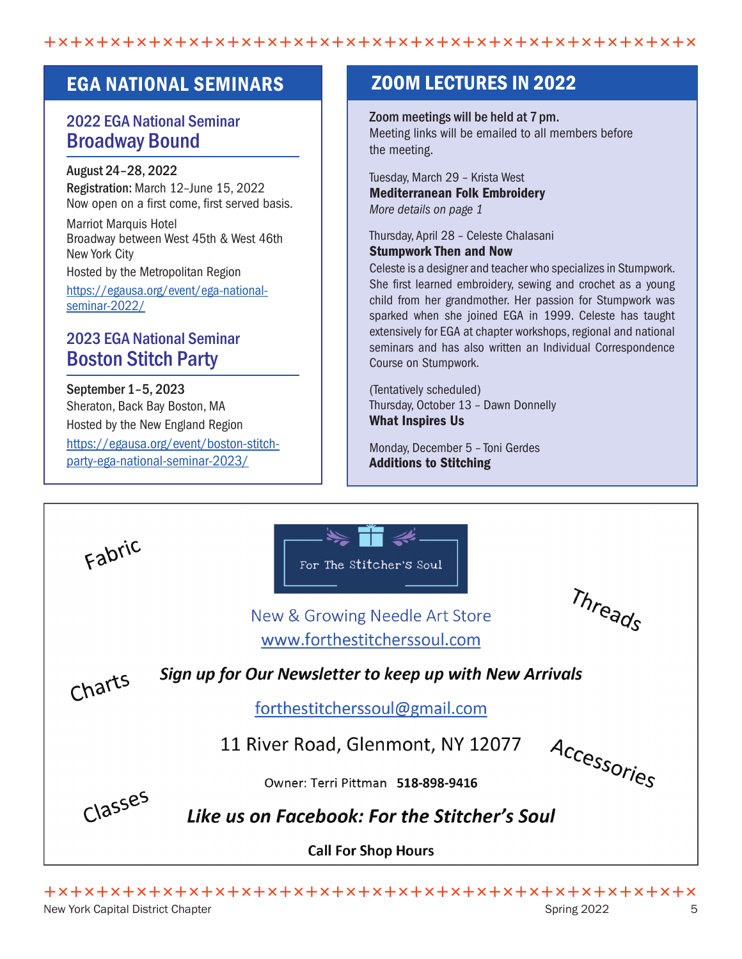$+$   $\times$   $+$   $\times$   $+$   $\times$   $+$   $\times$   $+$   $\times$   $+$   $\times$   $+$   $\times$   $+$   $\times$   $+$   $\times$   $+$   $\times$   $+$   $\times$   $+$   $\times$   $+$   $\times$   $+$   $\times$   $+$   $\times$   $+$   $\times$   $+$   $\times$   $+$   $\times$   $+$   $\times$   $+$   $\times$   $+$   $\times$   $+$   $\times$   $+$   $\times$   $+$   $\times$   $+$ 

### 2022 EGA National Seminar Broadway Bound

#### August 24–28, 2022

Registration: March 12–June 15, 2022 Now open on a first come, first served basis.

Marriot Marquis Hotel Broadway between West 45th & West 46th New York City

Hosted by the Metropolitan Region

[https://egausa.org/event/ega-national](https://egausa.org/event/ega-national-seminar-2022/)[seminar-2022/](https://egausa.org/event/ega-national-seminar-2022/)

### 2023 EGA National Seminar Boston Stitch Party

September 1–5, 2023 Sheraton, Back Bay Boston, MA Hosted by the New England Region [https://egausa.org/event/boston-stitch](https://egausa.org/event/boston-stitch-party-ega-national-seminar-2023/)[party-ega-national-seminar-2023/](https://egausa.org/event/boston-stitch-party-ega-national-seminar-2023/)

### EGA NATIONAL SEMINARS **EXECUS IN 2022**

Zoom meetings will be held at 7pm. Meeting links will be emailed to all members before the meeting.

Tuesday, March 29 – Krista West Mediterranean Folk Embroidery *More details on page 1*

Thursday, April 28 – Celeste Chalasani Stumpwork Then and Now

Celeste is a designer and teacher who specializes in Stumpwork. She first learned embroidery, sewing and crochet as a young child from her grandmother. Her passion for Stumpwork was sparked when she joined EGA in 1999. Celeste has taught extensively for EGA at chapter workshops, regional and national seminars and has also written an Individual Correspondence Course on Stumpwork.

(Tentatively scheduled) Thursday, October 13 – Dawn Donnelly What Inspires Us

Monday, December 5 – Toni Gerdes Additions to Stitching

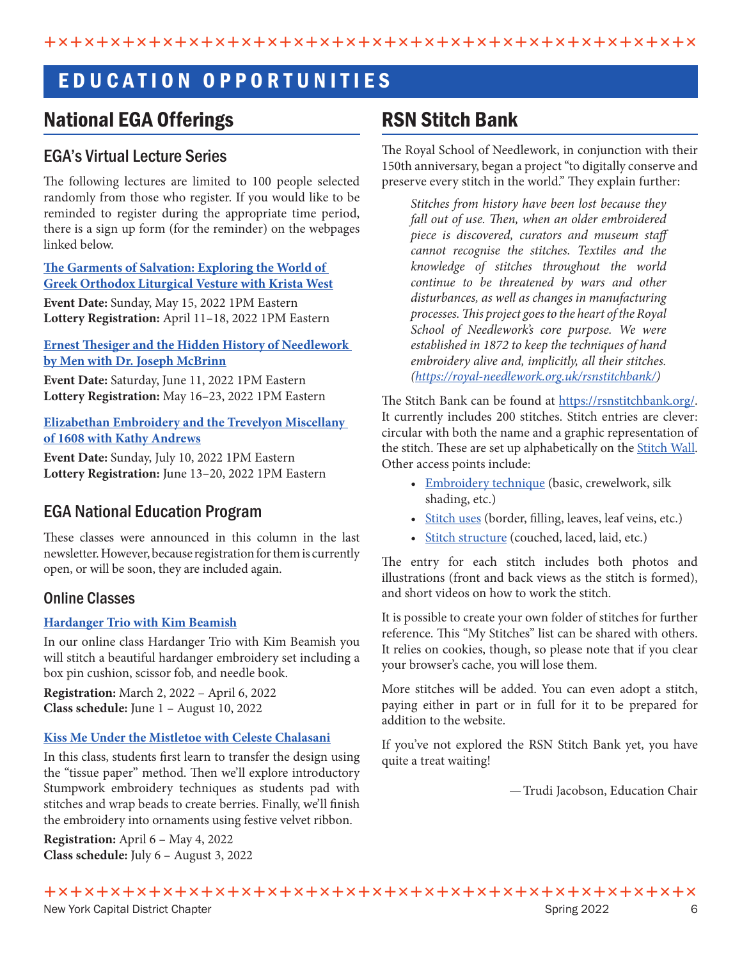### E D U C A T I O N O P P O R T U N I T I E S

### National EGA Offerings

#### EGA's Virtual Lecture Series

The following lectures are limited to 100 people selected randomly from those who register. If you would like to be reminded to register during the appropriate time period, there is a sign up form (for the reminder) on the webpages linked below.

**[The Garments of Salvation: Exploring the World of](https://egausa.org/courses/virtual-lecture-the-garments-of-salvation-krista-west/)  [Greek Orthodox Liturgical Vesture with Krista West](https://egausa.org/courses/virtual-lecture-the-garments-of-salvation-krista-west/)**

**Event Date:** Sunday, May 15, 2022 1PM Eastern **Lottery Registration:** April 11–18, 2022 1PM Eastern

#### **[Ernest Thesiger and the Hidden History of Needlework](https://egausa.org/courses/virtual-lecture-ernest-thesiger-needlework-men-dr-joseph-mcbrinn/)  [by Men with Dr. Joseph McBrinn](https://egausa.org/courses/virtual-lecture-ernest-thesiger-needlework-men-dr-joseph-mcbrinn/)**

**Event Date:** Saturday, June 11, 2022 1PM Eastern **Lottery Registration:** May 16–23, 2022 1PM Eastern

#### **[Elizabethan Embroidery and the Trevelyon Miscellany](https://egausa.org/courses/elizabethan-embroidery-and-the-trevelyon-miscellany-of-1608/)  [of 1608 with Kathy Andrews](https://egausa.org/courses/elizabethan-embroidery-and-the-trevelyon-miscellany-of-1608/)**

**Event Date:** Sunday, July 10, 2022 1PM Eastern **Lottery Registration:** June 13–20, 2022 1PM Eastern

### EGA National Education Program

These classes were announced in this column in the last newsletter. However, because registration for them is currently open, or will be soon, they are included again.

#### Online Classes

#### **[Hardanger Trio with Kim Beamish](https://egausa.org/courses/hardanger-trio/)**

In our online class Hardanger Trio with Kim Beamish you will stitch a beautiful hardanger embroidery set including a box pin cushion, scissor fob, and needle book.

**Registration:** March 2, 2022 – April 6, 2022 **Class schedule:** June 1 – August 10, 2022

#### **[Kiss Me Under the Mistletoe with Celeste Chalasani](https://egausa.org/courses/kiss-me-under-the-mistletoe/)**

In this class, students first learn to transfer the design using the "tissue paper" method. Then we'll explore introductory Stumpwork embroidery techniques as students pad with stitches and wrap beads to create berries. Finally, we'll finish the embroidery into ornaments using festive velvet ribbon.

**Registration:** April 6 – May 4, 2022 **Class schedule:** July 6 – August 3, 2022

### RSN Stitch Bank

The Royal School of Needlework, in conjunction with their 150th anniversary, began a project "to digitally conserve and preserve every stitch in the world." They explain further:

*Stitches from history have been lost because they fall out of use. Then, when an older embroidered piece is discovered, curators and museum staff cannot recognise the stitches. Textiles and the knowledge of stitches throughout the world continue to be threatened by wars and other disturbances, as well as changes in manufacturing processes. This project goes to the heart of the Royal School of Needlework's core purpose. We were established in 1872 to keep the techniques of hand embroidery alive and, implicitly, all their stitches. ([https://royal-needlework.org.uk/rsnstitchbank/\)](ttps://royal-needlework.org.uk/rsnstitchbank/)*

The Stitch Bank can be found at <https://rsnstitchbank.org/>. It currently includes 200 stitches. Stitch entries are clever: circular with both the name and a graphic representation of the stitch. These are set up alphabetically on the [Stitch Wall](https://rsnstitchbank.org/wall). Other access points include:

- [Embroidery technique](https://rsnstitchbank.org/technique) (basic, crewelwork, silk shading, etc.)
- [Stitch uses](https://rsnstitchbank.org/use) (border, filling, leaves, leaf veins, etc.)
- [Stitch structure](https://rsnstitchbank.org/structure) (couched, laced, laid, etc.)

The entry for each stitch includes both photos and illustrations (front and back views as the stitch is formed), and short videos on how to work the stitch.

It is possible to create your own folder of stitches for further reference. This "My Stitches" list can be shared with others. It relies on cookies, though, so please note that if you clear your browser's cache, you will lose them.

More stitches will be added. You can even adopt a stitch, paying either in part or in full for it to be prepared for addition to the website.

If you've not explored the RSN Stitch Bank yet, you have quite a treat waiting!

—Trudi Jacobson, Education Chair

ÈÏÈÏÈÏÈÏÈÏÈÏÈÏÈÏÈÏÈÏÈÏÈÏÈÏÈÏÈÏÈÏÈÏÈÏÈÏÈÏÈÏÈÏÈÏÈÏÈÏ New York Capital District Chapter Spring 2022 6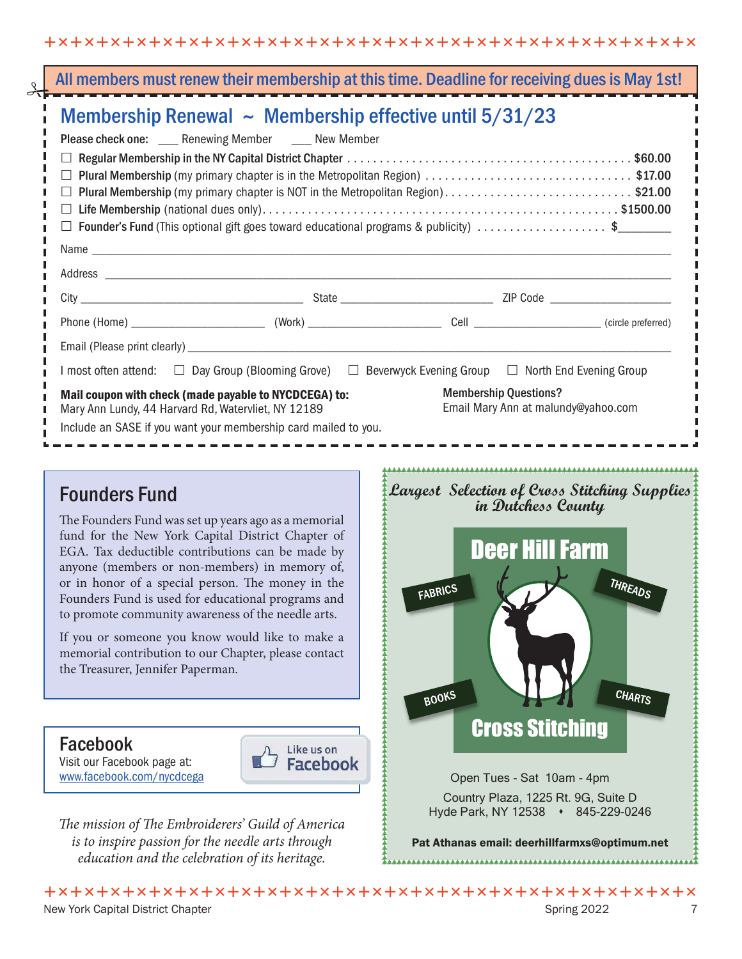| Membership Renewal $\sim$ Membership effective until 5/31/23                                         |                                                                                                                      |                              |  |  |  |
|------------------------------------------------------------------------------------------------------|----------------------------------------------------------------------------------------------------------------------|------------------------------|--|--|--|
|                                                                                                      | Please check one: ____ Renewing Member ____ New Member                                                               |                              |  |  |  |
|                                                                                                      |                                                                                                                      |                              |  |  |  |
| Plural Membership (my primary chapter is in the Metropolitan Region) \$17.00<br>$\vert \ \ \vert$    |                                                                                                                      |                              |  |  |  |
| Plural Membership (my primary chapter is NOT in the Metropolitan Region)\$21.00                      |                                                                                                                      |                              |  |  |  |
| ⊔                                                                                                    |                                                                                                                      |                              |  |  |  |
| <b>Founder's Fund</b> (This optional gift goes toward educational programs & publicity) \$<br>$\Box$ |                                                                                                                      |                              |  |  |  |
|                                                                                                      |                                                                                                                      |                              |  |  |  |
|                                                                                                      |                                                                                                                      |                              |  |  |  |
|                                                                                                      |                                                                                                                      |                              |  |  |  |
|                                                                                                      |                                                                                                                      |                              |  |  |  |
|                                                                                                      |                                                                                                                      |                              |  |  |  |
|                                                                                                      |                                                                                                                      |                              |  |  |  |
|                                                                                                      | I most often attend: $\Box$ Day Group (Blooming Grove) $\Box$ Beverwyck Evening Group $\Box$ North End Evening Group |                              |  |  |  |
|                                                                                                      | Mail coupon with check (made payable to NYCDCEGA) to:                                                                | <b>Membership Questions?</b> |  |  |  |

### **Founders Fund**

The Founders Fund was set up years ago as a memorial fund for the New York Capital District Chapter of EGA. Tax deductible contributions can be made by anyone (members or non-members) in memory of, anyone (interaction of non-memorie) in interacty or, Founders Fund is used for educational programs and to promote community awareness of the needle arts.

If you or someone you know would like to make a memorial contribution to our Chapter, please contact Hendrich Changers to the Chapter, press Changer the Treasurer, Jennifer Paperman.

Visit our Facebook page at: **WELL** Facebook www.facebook.com/nycdcega

typarks@egausa.org



*The mission of The Embroiderers' Guild of America*  $\mathcal{L}_{\text{max}}$  is a given given yourself, or one that  $\mathcal{L}_{\text{max}}$ is to inspire passion for the needle arts through education and the celebration of its heritage.